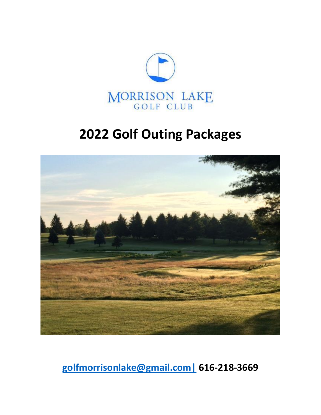

# **2022 Golf Outing Packages**



**[golfmorrisonlake@gmail.com|](mailto:golfmorrisonlake@gmail.com%7C) 616-218-3669**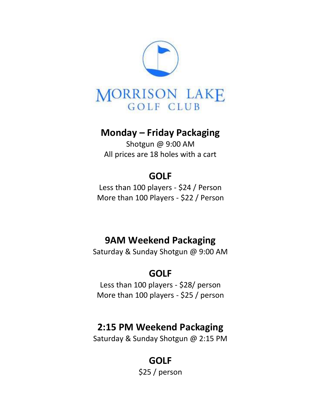

### **Monday – Friday Packaging**

Shotgun @ 9:00 AM All prices are 18 holes with a cart

### **GOLF**

Less than 100 players - \$24 / Person More than 100 Players - \$22 / Person

### **9AM Weekend Packaging**

Saturday & Sunday Shotgun @ 9:00 AM

### **GOLF**

Less than 100 players - \$28/ person More than 100 players - \$25 / person

### **2:15 PM Weekend Packaging**

Saturday & Sunday Shotgun @ 2:15 PM

### **GOLF**

\$25 / person